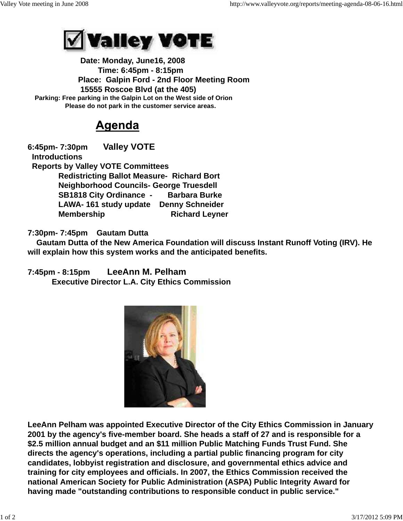

 **Date: Monday, June16, 2008 Time: 6:45pm - 8:15pm Place: Galpin Ford - 2nd Floor Meeting Room 15555 Roscoe Blvd (at the 405) Parking: Free parking in the Galpin Lot on the West side of Orion Please do not park in the customer service areas.**

## Agenda

**6:45pm- 7:30pm Valley VOTE Introductions Reports by Valley VOTE Committees Redistricting Ballot Measure- Richard Bort Neighborhood Councils- George Truesdell SB1818 City Ordinance - Barbara Burke LAWA- 161 study update Denny Schneider Membership Richard Leyner** 

## **7:30pm- 7:45pm Gautam Dutta**

 **Gautam Dutta of the New America Foundation will discuss Instant Runoff Voting (IRV). He will explain how this system works and the anticipated benefits.** 

**7:45pm - 8:15pm LeeAnn M. Pelham Executive Director L.A. City Ethics Commission**



**LeeAnn Pelham was appointed Executive Director of the City Ethics Commission in January 2001 by the agency's five-member board. She heads a staff of 27 and is responsible for a \$2.5 million annual budget and an \$11 million Public Matching Funds Trust Fund. She directs the agency's operations, including a partial public financing program for city candidates, lobbyist registration and disclosure, and governmental ethics advice and training for city employees and officials. In 2007, the Ethics Commission received the national American Society for Public Administration (ASPA) Public Integrity Award for having made "outstanding contributions to responsible conduct in public service."**